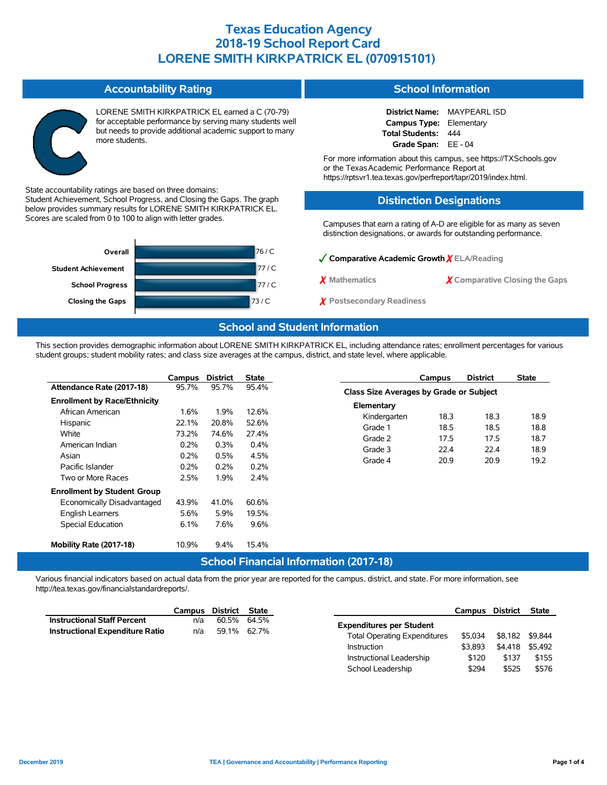|                            | LORENE SMITH KIRKPATRICK EL earned a C (70-79)<br>for acceptable performance by serving many students well<br>but needs to provide additional academic support to many<br>more students. |        | <b>District Name:</b><br><b>MAYPEARL ISD</b><br>Campus Type:<br>Elementary<br>Total Students:<br>444<br>Grade Span: EE - 04<br>For more information about this campus, see https://TXSchools.gov<br>or the Texas Academic Performance Report at<br>https://rptsvr1.tea.texas.gov/perfreport/tapr/2019/index.html. |                                |  |  |  |
|----------------------------|------------------------------------------------------------------------------------------------------------------------------------------------------------------------------------------|--------|-------------------------------------------------------------------------------------------------------------------------------------------------------------------------------------------------------------------------------------------------------------------------------------------------------------------|--------------------------------|--|--|--|
|                            | State accountability ratings are based on three domains:                                                                                                                                 |        | <b>Distinction Designations</b>                                                                                                                                                                                                                                                                                   |                                |  |  |  |
|                            | Student Achievement, School Progress, and Closing the Gaps. The graph<br>below provides summary results for LORENE SMITH KIRKPATRICK EL.                                                 |        |                                                                                                                                                                                                                                                                                                                   |                                |  |  |  |
|                            | Scores are scaled from 0 to 100 to align with letter grades.                                                                                                                             |        | Campuses that earn a rating of A-D are eligible for as many as seven<br>distinction designations, or awards for outstanding performance.                                                                                                                                                                          |                                |  |  |  |
|                            | Overall                                                                                                                                                                                  | 76 / C |                                                                                                                                                                                                                                                                                                                   |                                |  |  |  |
| <b>Student Achievement</b> |                                                                                                                                                                                          | 77/C   | Comparative Academic Growth $\chi$ ELA/Reading                                                                                                                                                                                                                                                                    |                                |  |  |  |
|                            |                                                                                                                                                                                          |        | X Mathematics                                                                                                                                                                                                                                                                                                     | X Comparative Closing the Gaps |  |  |  |
|                            | <b>School Progress</b>                                                                                                                                                                   | 77/C   |                                                                                                                                                                                                                                                                                                                   |                                |  |  |  |
|                            | <b>Closing the Gaps</b>                                                                                                                                                                  | 73/C   | $\chi$ Postsecondary Readiness                                                                                                                                                                                                                                                                                    |                                |  |  |  |

### **School and Student Information**

This section provides demographic information about LORENE SMITH KIRKPATRICK EL, including attendance rates; enrollment percentages for various student groups; student mobility rates; and class size averages at the campus, district, and state level, where applicable.

|                                     | Campus | <b>District</b> | <b>State</b> |                                               | Campus | <b>District</b> | <b>State</b> |
|-------------------------------------|--------|-----------------|--------------|-----------------------------------------------|--------|-----------------|--------------|
| Attendance Rate (2017-18)           | 95.7%  | 95.7%           | 95.4%        | Class Size Averages by Grade or Subject       |        |                 |              |
| <b>Enrollment by Race/Ethnicity</b> |        |                 |              | Elementary                                    |        |                 |              |
| African American                    | 1.6%   | 1.9%            | 12.6%        | Kindergarten                                  | 18.3   | 18.3            | 18.9         |
| Hispanic                            | 22.1%  | 20.8%           | 52.6%        | Grade 1                                       | 18.5   | 18.5            | 18.8         |
| White                               | 73.2%  | 74.6%           | 27.4%        | Grade 2                                       | 17.5   | 17.5            | 18.7         |
| American Indian                     | 0.2%   | 0.3%            | 0.4%         | Grade 3                                       | 22.4   | 22.4            | 18.9         |
| Asian                               | 0.2%   | 0.5%            | 4.5%         |                                               |        |                 |              |
| Pacific Islander                    | 0.2%   | 0.2%            | 0.2%         | Grade 4                                       | 20.9   | 20.9            | 19.2         |
| Two or More Races                   | 2.5%   | 1.9%            | 2.4%         |                                               |        |                 |              |
| <b>Enrollment by Student Group</b>  |        |                 |              |                                               |        |                 |              |
| Economically Disadvantaged          | 43.9%  | 41.0%           | 60.6%        |                                               |        |                 |              |
| English Learners                    | 5.6%   | 5.9%            | 19.5%        |                                               |        |                 |              |
| Special Education                   | 6.1%   | 7.6%            | 9.6%         |                                               |        |                 |              |
| Mobility Rate (2017-18)             | 10.9%  | 9.4%            | 15.4%        |                                               |        |                 |              |
|                                     |        |                 |              | <b>School Financial Information (2017-18)</b> |        |                 |              |

Various financial indicators based on actual data from the prior year are reported for the campus, district, and state. For more information, see http://tea.texas.gov/financialstandardreports/.

|                                        | Campus District State |             |  |
|----------------------------------------|-----------------------|-------------|--|
| <b>Instructional Staff Percent</b>     | n/a                   | 60.5% 64.5% |  |
| <b>Instructional Expenditure Ratio</b> | n/a                   | 59.1% 62.7% |  |

**Accountability Rating**

|                                     | Campus District |         | <b>State</b> |
|-------------------------------------|-----------------|---------|--------------|
| <b>Expenditures per Student</b>     |                 |         |              |
| <b>Total Operating Expenditures</b> | \$5.034         | \$8.182 | \$9.844      |
| Instruction                         | \$3.893         | \$4.418 | \$5.492      |
| Instructional Leadership            | \$120           | \$137   | \$155        |
| School Leadership                   | \$294           | \$525   | \$576        |

**School Information**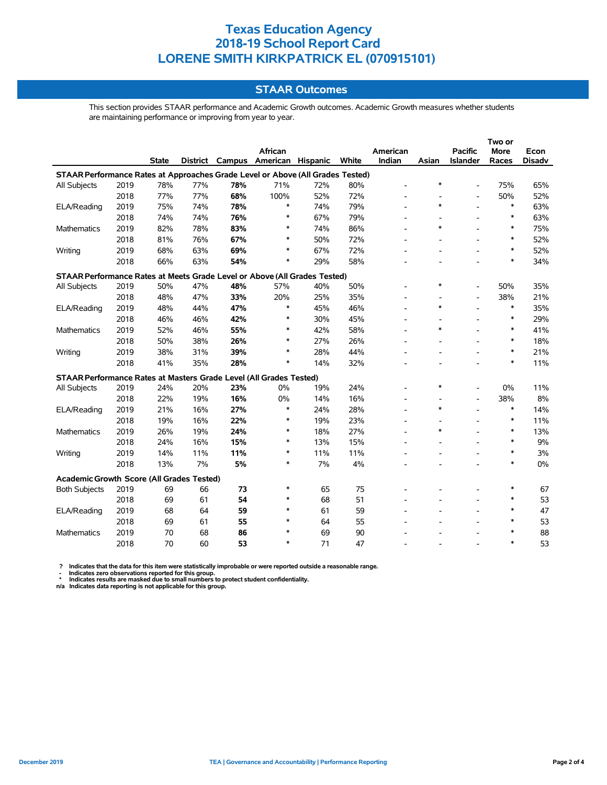### **STAAR Outcomes**

This section provides STAAR performance and Academic Growth outcomes. Academic Growth measures whether students are maintaining performance or improving from year to year.

|                                                                                |      |              |     |     |                                   |     |       |          | Two or |                          |             |               |
|--------------------------------------------------------------------------------|------|--------------|-----|-----|-----------------------------------|-----|-------|----------|--------|--------------------------|-------------|---------------|
|                                                                                |      |              |     |     | African                           |     |       | American |        | <b>Pacific</b>           | <b>More</b> | Econ          |
|                                                                                |      | <b>State</b> |     |     | District Campus American Hispanic |     | White | Indian   | Asian  | Islander                 | Races       | <b>Disadv</b> |
| STAAR Performance Rates at Approaches Grade Level or Above (All Grades Tested) |      |              |     |     |                                   |     |       |          |        |                          |             |               |
| All Subjects                                                                   | 2019 | 78%          | 77% | 78% | 71%                               | 72% | 80%   |          | $\ast$ | $\overline{\phantom{a}}$ | 75%         | 65%           |
|                                                                                | 2018 | 77%          | 77% | 68% | 100%                              | 52% | 72%   |          |        | $\overline{\phantom{a}}$ | 50%         | 52%           |
| ELA/Reading                                                                    | 2019 | 75%          | 74% | 78% | ∗                                 | 74% | 79%   |          | *      | ÷,                       | *           | 63%           |
|                                                                                | 2018 | 74%          | 74% | 76% | ∗                                 | 67% | 79%   |          |        | ÷,                       | *           | 63%           |
| <b>Mathematics</b>                                                             | 2019 | 82%          | 78% | 83% | $\ast$                            | 74% | 86%   |          | *      |                          | $\ast$      | 75%           |
|                                                                                | 2018 | 81%          | 76% | 67% | $\ast$                            | 50% | 72%   |          |        |                          | $\ast$      | 52%           |
| Writing                                                                        | 2019 | 68%          | 63% | 69% | $\ast$                            | 67% | 72%   |          |        |                          | ∗           | 52%           |
|                                                                                | 2018 | 66%          | 63% | 54% | $\ast$                            | 29% | 58%   |          |        |                          | $\ast$      | 34%           |
| STAAR Performance Rates at Meets Grade Level or Above (All Grades Tested)      |      |              |     |     |                                   |     |       |          |        |                          |             |               |
| All Subjects                                                                   | 2019 | 50%          | 47% | 48% | 57%                               | 40% | 50%   |          | *      |                          | 50%         | 35%           |
|                                                                                | 2018 | 48%          | 47% | 33% | 20%                               | 25% | 35%   |          |        | $\overline{\phantom{a}}$ | 38%         | 21%           |
| ELA/Reading                                                                    | 2019 | 48%          | 44% | 47% | $\ast$                            | 45% | 46%   |          | *      | L,                       | $\ast$      | 35%           |
|                                                                                | 2018 | 46%          | 46% | 42% | $\ast$                            | 30% | 45%   |          |        |                          | $\ast$      | 29%           |
| Mathematics                                                                    | 2019 | 52%          | 46% | 55% | $\ast$                            | 42% | 58%   |          | $\ast$ |                          | $\ast$      | 41%           |
|                                                                                | 2018 | 50%          | 38% | 26% | $\ast$                            | 27% | 26%   |          |        |                          | $\ast$      | 18%           |
| Writing                                                                        | 2019 | 38%          | 31% | 39% | $\ast$                            | 28% | 44%   |          |        |                          | $\ast$      | 21%           |
|                                                                                | 2018 | 41%          | 35% | 28% | $\ast$                            | 14% | 32%   |          |        |                          | $\ast$      | 11%           |
| STAAR Performance Rates at Masters Grade Level (All Grades Tested)             |      |              |     |     |                                   |     |       |          |        |                          |             |               |
| All Subjects                                                                   | 2019 | 24%          | 20% | 23% | 0%                                | 19% | 24%   |          | *      |                          | 0%          | 11%           |
|                                                                                | 2018 | 22%          | 19% | 16% | 0%                                | 14% | 16%   |          |        | $\overline{\phantom{a}}$ | 38%         | 8%            |
| ELA/Reading                                                                    | 2019 | 21%          | 16% | 27% | ∗                                 | 24% | 28%   |          | *      |                          | *           | 14%           |
|                                                                                | 2018 | 19%          | 16% | 22% | $\ast$                            | 19% | 23%   |          |        |                          | $\ast$      | 11%           |
| Mathematics                                                                    | 2019 | 26%          | 19% | 24% | $\ast$                            | 18% | 27%   |          | $\ast$ |                          | $\ast$      | 13%           |
|                                                                                | 2018 | 24%          | 16% | 15% | $\ast$                            | 13% | 15%   |          |        |                          | $\ast$      | 9%            |
| Writing                                                                        | 2019 | 14%          | 11% | 11% | $\ast$                            | 11% | 11%   |          |        |                          | $\ast$      | 3%            |
|                                                                                | 2018 | 13%          | 7%  | 5%  | $\ast$                            | 7%  | 4%    |          |        |                          | $\ast$      | 0%            |
| Academic Growth Score (All Grades Tested)                                      |      |              |     |     |                                   |     |       |          |        |                          |             |               |
| <b>Both Subjects</b>                                                           | 2019 | 69           | 66  | 73  | $\ast$                            | 65  | 75    |          |        |                          | *           | 67            |
|                                                                                | 2018 | 69           | 61  | 54  | $\ast$                            | 68  | 51    |          |        | $\overline{\phantom{a}}$ | $\ast$      | 53            |
| ELA/Reading                                                                    | 2019 | 68           | 64  | 59  | $\ast$                            | 61  | 59    |          |        |                          | $\ast$      | 47            |
|                                                                                | 2018 | 69           | 61  | 55  | $\ast$                            | 64  | 55    |          |        |                          | $\ast$      | 53            |
| Mathematics                                                                    | 2019 | 70           | 68  | 86  | $\ast$                            | 69  | 90    |          |        |                          | $\ast$      | 88            |
|                                                                                | 2018 | 70           | 60  | 53  | $\ast$                            | 71  | 47    |          |        |                          | $\ast$      | 53            |

? Indicates that the data for this item were statistically improbable or were reported outside a reasonable range.<br>- Indicates zero observations reported for this group.<br>\* Indicates results are masked due to small numbers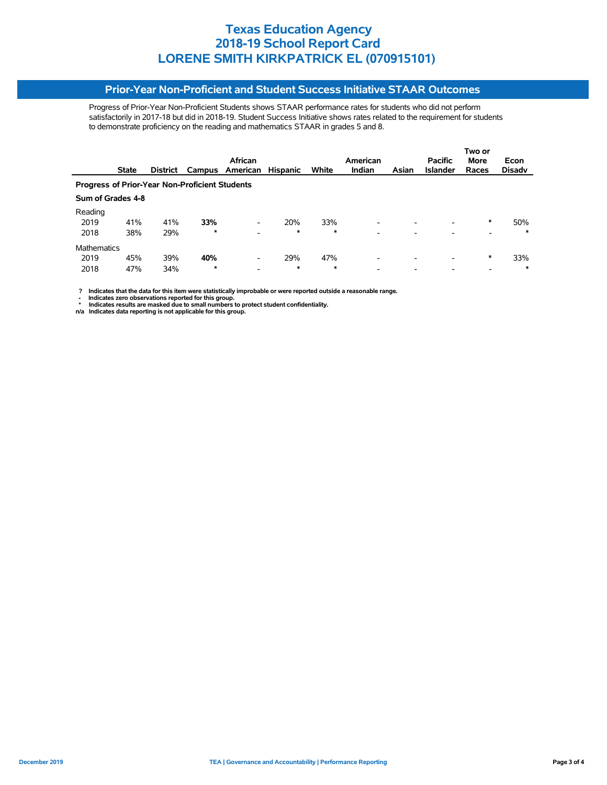#### **Prior-Year Non-Proficient and Student Success Initiative STAAR Outcomes**

Progress of Prior-Year Non-Proficient Students shows STAAR performance rates for students who did not perform satisfactorily in 2017-18 but did in 2018-19. Student Success Initiative shows rates related to the requirement for students to demonstrate proficiency on the reading and mathematics STAAR in grades 5 and 8.

|                                                       |                   |                 |         |                          |                 |        |                          |                          | Two or          |             |               |  |  |
|-------------------------------------------------------|-------------------|-----------------|---------|--------------------------|-----------------|--------|--------------------------|--------------------------|-----------------|-------------|---------------|--|--|
|                                                       |                   |                 |         | African                  |                 |        | American                 |                          | <b>Pacific</b>  | <b>More</b> | Econ          |  |  |
|                                                       | <b>State</b>      | <b>District</b> | Campus  | American                 | <b>Hispanic</b> | White  | Indian                   | Asian                    | <b>Islander</b> | Races       | <b>Disady</b> |  |  |
| <b>Progress of Prior-Year Non-Proficient Students</b> |                   |                 |         |                          |                 |        |                          |                          |                 |             |               |  |  |
|                                                       | Sum of Grades 4-8 |                 |         |                          |                 |        |                          |                          |                 |             |               |  |  |
| Reading                                               |                   |                 |         |                          |                 |        |                          |                          |                 |             |               |  |  |
| 2019                                                  | 41%               | 41%             | 33%     | $\overline{\phantom{a}}$ | 20%             | 33%    |                          |                          |                 | *           | 50%           |  |  |
| 2018                                                  | 38%               | 29%             | $\star$ | $\overline{\phantom{a}}$ | $\ast$          | $\ast$ | -                        |                          |                 |             | $\ast$        |  |  |
| <b>Mathematics</b>                                    |                   |                 |         |                          |                 |        |                          |                          |                 |             |               |  |  |
| 2019                                                  | 45%               | 39%             | 40%     | $\overline{\phantom{a}}$ | 29%             | 47%    | $\overline{\phantom{0}}$ | $\overline{\phantom{0}}$ |                 | *           | 33%           |  |  |
| 2018                                                  | 47%               | 34%             | $\star$ | $\overline{\phantom{a}}$ | $\ast$          | $\ast$ | -                        |                          |                 |             | $\ast$        |  |  |

 **? Indicates that the data for this item were statistically improbable or were reported outside a reasonable range.**

- Indicates zero observations reported for this group.<br>\* Indicates results are masked due to small numbers to protect student confidentiality.<br>n/a Indicates data reporting is not applicable for this group.